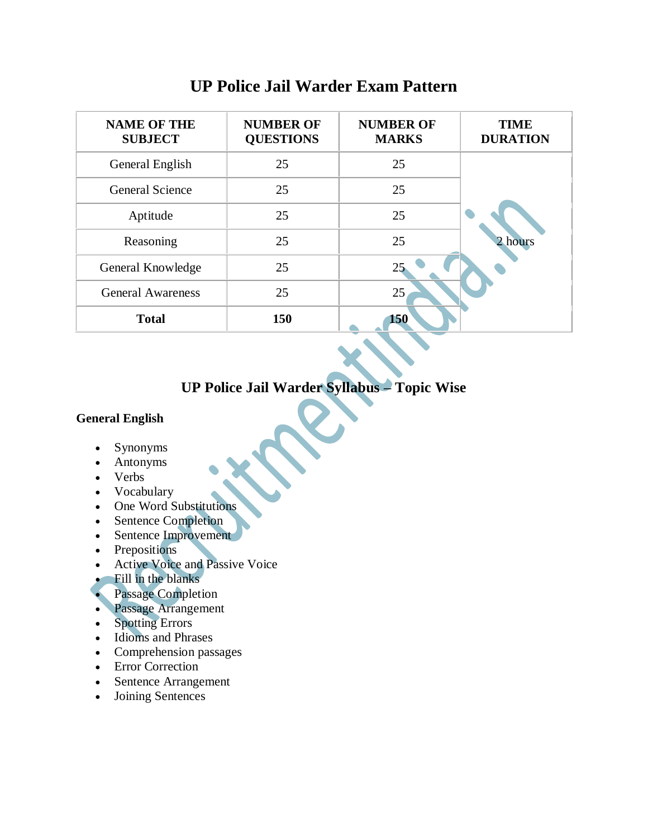| <b>NAME OF THE</b><br><b>SUBJECT</b> | <b>NUMBER OF</b><br><b>QUESTIONS</b> | <b>NUMBER OF</b><br><b>MARKS</b> | <b>TIME</b><br><b>DURATION</b> |
|--------------------------------------|--------------------------------------|----------------------------------|--------------------------------|
| General English                      | 25                                   | 25                               |                                |
| <b>General Science</b>               | 25                                   | 25                               |                                |
| Aptitude                             | 25                                   | 25                               |                                |
| Reasoning                            | 25                                   | 25                               | 2 hours                        |
| General Knowledge                    | 25                                   | 25                               |                                |
| <b>General Awareness</b>             | 25                                   | 25                               |                                |
| <b>Total</b>                         | 150                                  | 150                              |                                |

## **UP Police Jail Warder Exam Pattern**

# **UP Police Jail Warder Syllabus – Topic Wise**

## **General English**

- Synonyms
- Antonyms
- Verbs
- Vocabulary
- One Word Substitutions
- Sentence Completion
- Sentence Improvement
- Prepositions
- Active Voice and Passive Voice
- Fill in the blanks
- Passage Completion
- **Passage Arrangement**
- Spotting Errors
- Idioms and Phrases
- Comprehension passages
- Error Correction
- Sentence Arrangement
- Joining Sentences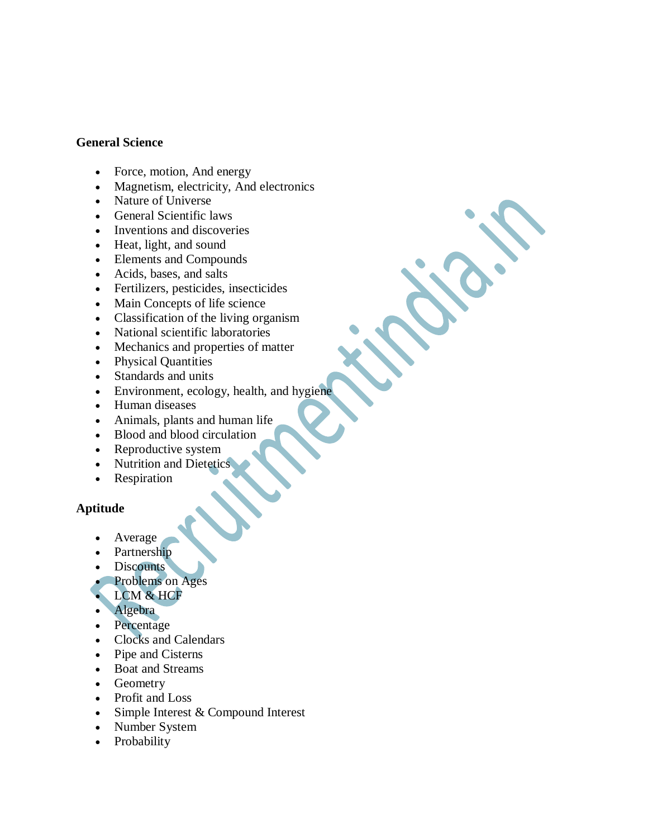#### **General Science**

- Force, motion, And energy
- Magnetism, electricity, And electronics
- Nature of Universe
- General Scientific laws
- Inventions and discoveries
- Heat, light, and sound
- Elements and Compounds
- Acids, bases, and salts
- Fertilizers, pesticides, insecticides
- Main Concepts of life science
- Classification of the living organism
- National scientific laboratories
- Mechanics and properties of matter
- Physical Quantities
- Standards and units
- Environment, ecology, health, and hygiene
- Human diseases
- Animals, plants and human life
- Blood and blood circulation
- Reproductive system
- Nutrition and Dietetics
- Respiration

### **Aptitude**

- Average
- Partnership
- Discounts
- Problems on Ages
- LCM & HCF
- Algebra
- Percentage
- Clocks and Calendars
- Pipe and Cisterns
- Boat and Streams
- Geometry
- Profit and Loss
- Simple Interest & Compound Interest
- Number System
- Probability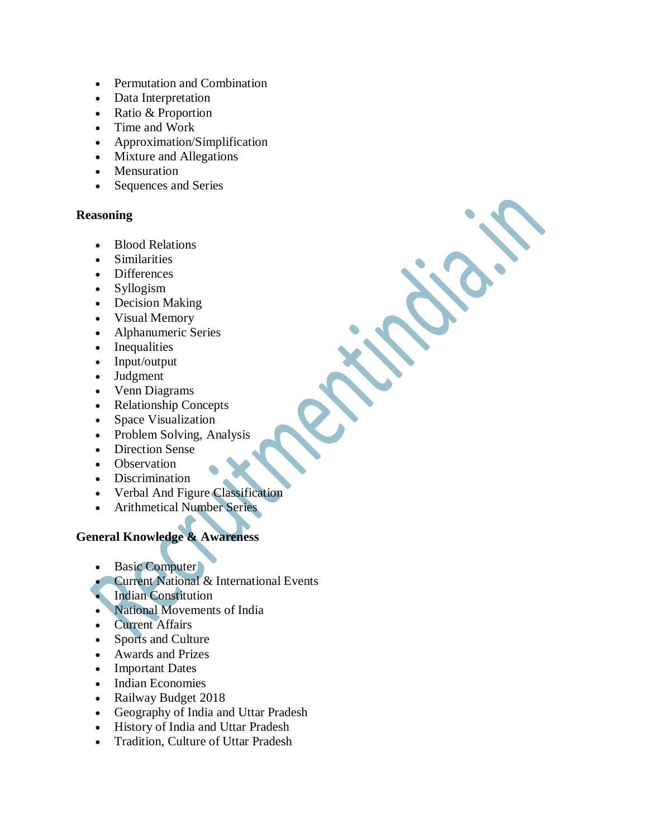- Permutation and Combination
- Data Interpretation
- Ratio & Proportion
- Time and Work
- Approximation/Simplification
- Mixture and Allegations
- Mensuration
- Sequences and Series

#### **Reasoning**

- Blood Relations
- Similarities
- Differences
- Syllogism
- Decision Making
- Visual Memory
- Alphanumeric Series
- Inequalities
- Input/output
- Judgment
- Venn Diagrams
- Relationship Concepts
- Space Visualization
- Problem Solving, Analysis
- Direction Sense
- Observation
- Discrimination
- Verbal And Figure Classification
- Arithmetical Number Series

## **General Knowledge & Awareness**

- Basic Computer
- **Current National & International Events**
- Indian Constitution
- National Movements of India
- Current Affairs
- Sports and Culture
- Awards and Prizes
- Important Dates
- Indian Economies
- Railway Budget 2018
- Geography of India and Uttar Pradesh
- History of India and Uttar Pradesh
- Tradition, Culture of Uttar Pradesh